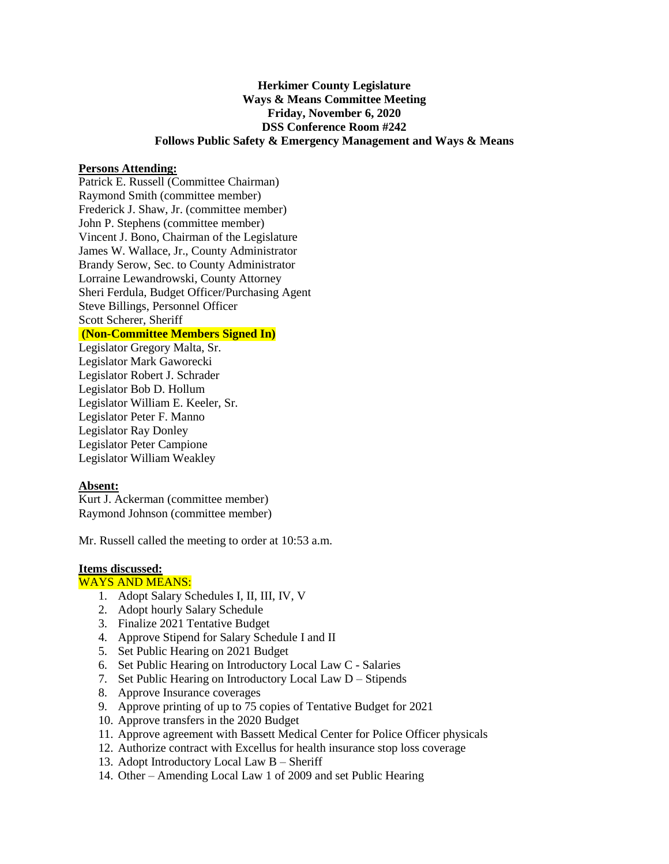# **Herkimer County Legislature Ways & Means Committee Meeting Friday, November 6, 2020 DSS Conference Room #242 Follows Public Safety & Emergency Management and Ways & Means**

### **Persons Attending:**

Patrick E. Russell (Committee Chairman) Raymond Smith (committee member) Frederick J. Shaw, Jr. (committee member) John P. Stephens (committee member) Vincent J. Bono, Chairman of the Legislature James W. Wallace, Jr., County Administrator Brandy Serow, Sec. to County Administrator Lorraine Lewandrowski, County Attorney Sheri Ferdula, Budget Officer/Purchasing Agent Steve Billings, Personnel Officer Scott Scherer, Sheriff

## **(Non-Committee Members Signed In)**

Legislator Gregory Malta, Sr. Legislator Mark Gaworecki Legislator Robert J. Schrader Legislator Bob D. Hollum Legislator William E. Keeler, Sr. Legislator Peter F. Manno Legislator Ray Donley Legislator Peter Campione Legislator William Weakley

## **Absent:**

Kurt J. Ackerman (committee member) Raymond Johnson (committee member)

Mr. Russell called the meeting to order at 10:53 a.m.

#### **Items discussed:**

#### WAYS AND MEANS:

- 1. Adopt Salary Schedules I, II, III, IV, V
- 2. Adopt hourly Salary Schedule
- 3. Finalize 2021 Tentative Budget
- 4. Approve Stipend for Salary Schedule I and II
- 5. Set Public Hearing on 2021 Budget
- 6. Set Public Hearing on Introductory Local Law C Salaries
- 7. Set Public Hearing on Introductory Local Law D Stipends
- 8. Approve Insurance coverages
- 9. Approve printing of up to 75 copies of Tentative Budget for 2021
- 10. Approve transfers in the 2020 Budget
- 11. Approve agreement with Bassett Medical Center for Police Officer physicals
- 12. Authorize contract with Excellus for health insurance stop loss coverage
- 13. Adopt Introductory Local Law B Sheriff
- 14. Other Amending Local Law 1 of 2009 and set Public Hearing